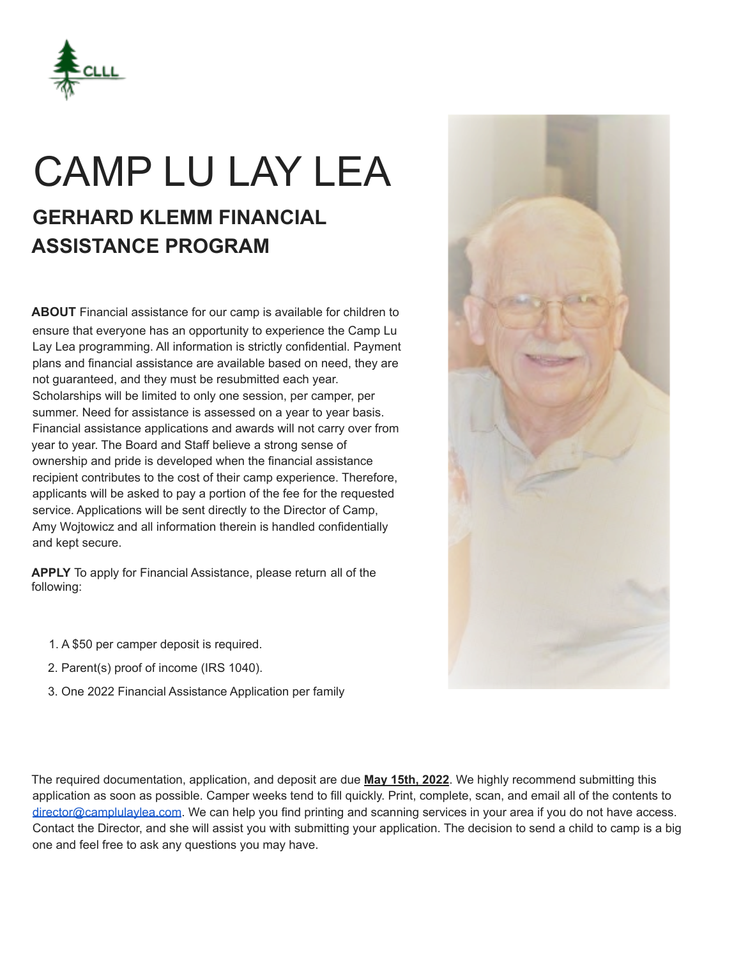

# CAMP LU LAY LEA

## **GERHARD KLEMM FINANCIAL ASSISTANCE PROGRAM**

**ABOUT** Financial assistance for our camp is available for children to ensure that everyone has an opportunity to experience the Camp Lu Lay Lea programming. All information is strictly confidential. Payment plans and financial assistance are available based on need, they are not guaranteed, and they must be resubmitted each year. Scholarships will be limited to only one session, per camper, per summer. Need for assistance is assessed on a year to year basis. Financial assistance applications and awards will not carry over from year to year. The Board and Staff believe a strong sense of ownership and pride is developed when the financial assistance recipient contributes to the cost of their camp experience. Therefore, applicants will be asked to pay a portion of the fee for the requested service. Applications will be sent directly to the Director of Camp, Amy Wojtowicz and all information therein is handled confidentially and kept secure.

**APPLY** To apply for Financial Assistance, please return all of the following:

- 1. A \$50 per camper deposit is required.
- 2. Parent(s) proof of income (IRS 1040).
- 3. One 2022 Financial Assistance Application per family

The required documentation, application, and deposit are due **May 15th, 2022**. We highly recommend submitting this application as soon as possible. Camper weeks tend to fill quickly. Print, complete, scan, and email all of the contents to director@camplulaylea.com. We can help you find printing and scanning services in your area if you do not have access. Contact the Director, and she will assist you with submitting your application. The decision to send a child to camp is a big one and feel free to ask any questions you may have.

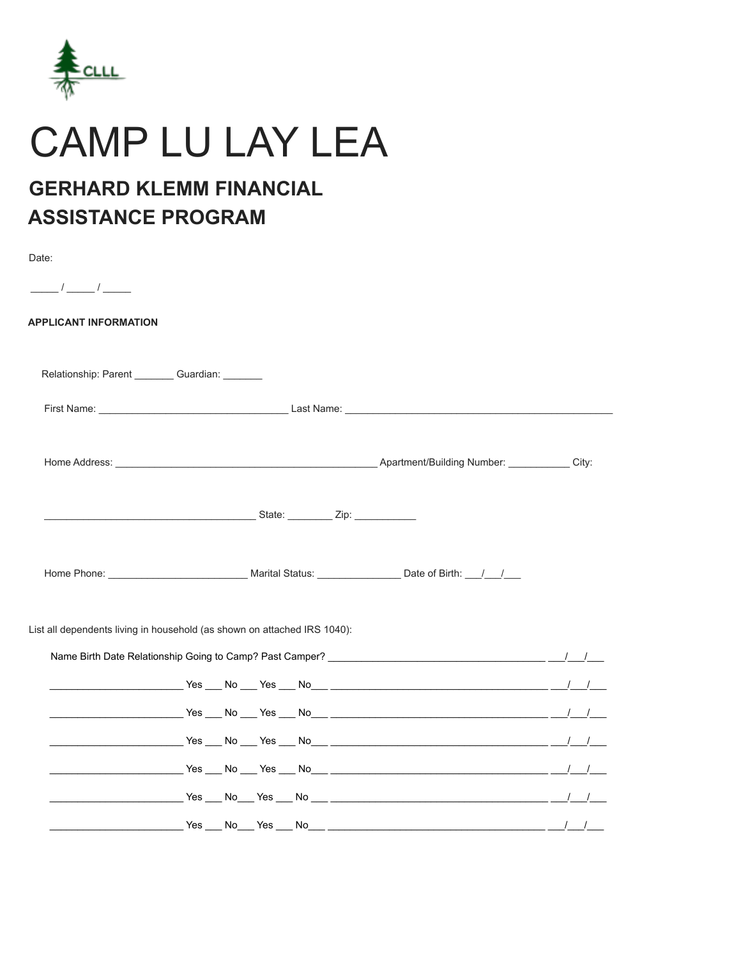

## **CAMP LU LAY LEA**

### **GERHARD KLEMM FINANCIAL ASSISTANCE PROGRAM**

| Date:                                           |                                                                                                                                                                                                                                      |            |
|-------------------------------------------------|--------------------------------------------------------------------------------------------------------------------------------------------------------------------------------------------------------------------------------------|------------|
| $\frac{\frac{1}{2}}{2}$                         |                                                                                                                                                                                                                                      |            |
| <b>APPLICANT INFORMATION</b>                    |                                                                                                                                                                                                                                      |            |
| Relationship: Parent ________ Guardian: _______ |                                                                                                                                                                                                                                      |            |
|                                                 |                                                                                                                                                                                                                                      |            |
|                                                 | Home Address: City: City: City: City: City: City: Apartment/Building Number: City:                                                                                                                                                   |            |
|                                                 | <u>State: Zip: Zip: 2000 / 2000 / 2000 / 2000 / 2000 / 2000 / 2000 / 2000 / 2000 / 2000 / 2000 / 2000 / 2000 / 2000 / 2000 / 2000 / 2000 / 2000 / 2000 / 2000 / 2000 / 2000 / 2000 / 2000 / 2000 / 2000 / 2000 / 2000 / 2000 / 2</u> |            |
|                                                 | Home Phone: __________________________________ Marital Status: __________________ Date of Birth: ___/___/____                                                                                                                        |            |
|                                                 | List all dependents living in household (as shown on attached IRS 1040):                                                                                                                                                             |            |
|                                                 |                                                                                                                                                                                                                                      |            |
|                                                 |                                                                                                                                                                                                                                      |            |
|                                                 |                                                                                                                                                                                                                                      |            |
|                                                 |                                                                                                                                                                                                                                      |            |
|                                                 |                                                                                                                                                                                                                                      |            |
|                                                 |                                                                                                                                                                                                                                      |            |
|                                                 | Yes No Yes No International Mo                                                                                                                                                                                                       | $\sqrt{1}$ |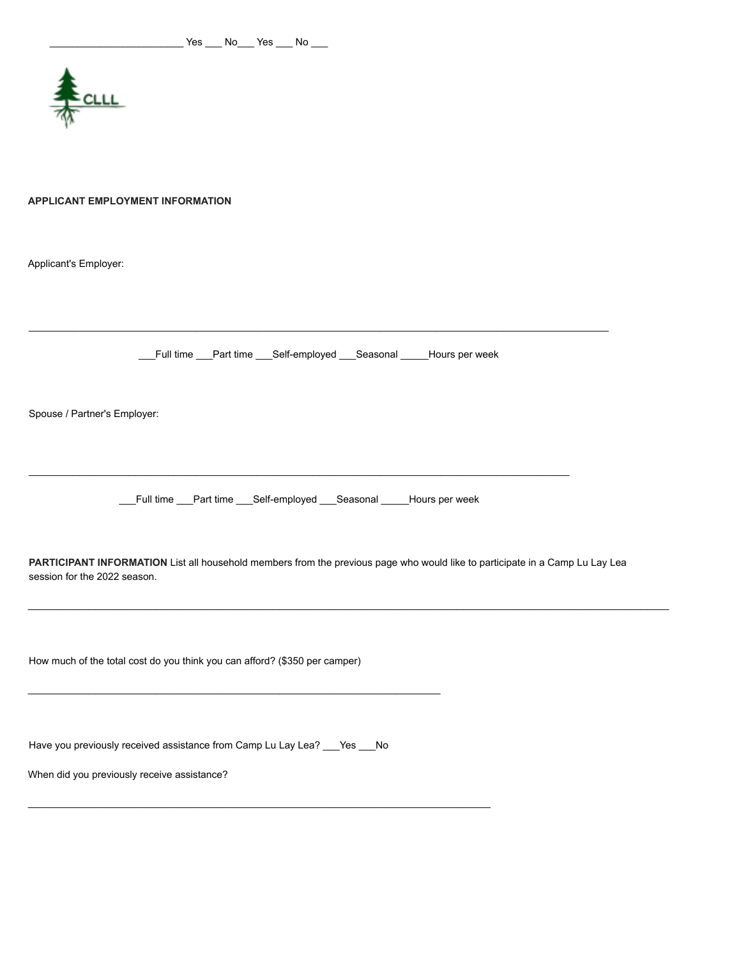

#### **APPLICANT EMPLOYMENT INFORMATION**

Applicant's Employer:

\_\_\_Full time \_\_\_Part time \_\_\_Self-employed \_\_\_Seasonal \_\_\_\_\_Hours per week

\_\_\_\_\_\_\_\_\_\_\_\_\_\_\_\_\_\_\_\_\_\_\_\_\_\_\_\_\_\_\_\_\_\_\_\_\_\_\_\_\_\_\_\_\_\_\_\_\_\_\_\_\_\_\_\_\_\_\_\_\_\_\_\_\_\_\_\_\_\_\_\_\_\_\_\_\_\_\_\_\_\_\_\_\_\_\_\_\_\_\_\_\_\_\_\_\_\_\_\_\_\_\_\_

Spouse / Partner's Employer:

\_\_\_Full time \_\_\_Part time \_\_\_Self-employed \_\_\_Seasonal \_\_\_\_\_Hours per week

\_\_\_\_\_\_\_\_\_\_\_\_\_\_\_\_\_\_\_\_\_\_\_\_\_\_\_\_\_\_\_\_\_\_\_\_\_\_\_\_\_\_\_\_\_\_\_\_\_\_\_\_\_\_\_\_\_\_\_\_\_\_\_\_\_\_\_\_\_\_\_\_\_\_\_\_\_\_\_\_\_\_\_\_\_\_\_\_\_\_\_\_\_\_\_\_\_

**PARTICIPANT INFORMATION** List all household members from the previous page who would like to participate in a Camp Lu Lay Lea session for the 2022 season.

\_\_\_\_\_\_\_\_\_\_\_\_\_\_\_\_\_\_\_\_\_\_\_\_\_\_\_\_\_\_\_\_\_\_\_\_\_\_\_\_\_\_\_\_\_\_\_\_\_\_\_\_\_\_\_\_\_\_\_\_\_\_\_\_\_\_\_\_\_\_\_\_\_\_\_\_\_\_\_\_\_\_\_\_\_\_\_\_\_\_\_\_\_\_\_\_\_\_\_\_\_\_\_\_\_\_\_\_\_\_\_\_\_\_\_

How much of the total cost do you think you can afford? (\$350 per camper)

Have you previously received assistance from Camp Lu Lay Lea? \_\_\_ Yes \_\_\_ No

\_\_\_\_\_\_\_\_\_\_\_\_\_\_\_\_\_\_\_\_\_\_\_\_\_\_\_\_\_\_\_\_\_\_\_\_\_\_\_\_\_\_\_\_\_\_\_\_\_\_\_\_\_\_\_\_\_\_\_\_\_\_\_\_\_\_\_\_\_\_\_\_\_\_

\_\_\_\_\_\_\_\_\_\_\_\_\_\_\_\_\_\_\_\_\_\_\_\_\_\_\_\_\_\_\_\_\_\_\_\_\_\_\_\_\_\_\_\_\_\_\_\_\_\_\_\_\_\_\_\_\_\_\_\_\_\_\_\_\_\_\_\_\_\_\_\_\_\_\_\_\_\_\_\_\_\_\_

When did you previously receive assistance?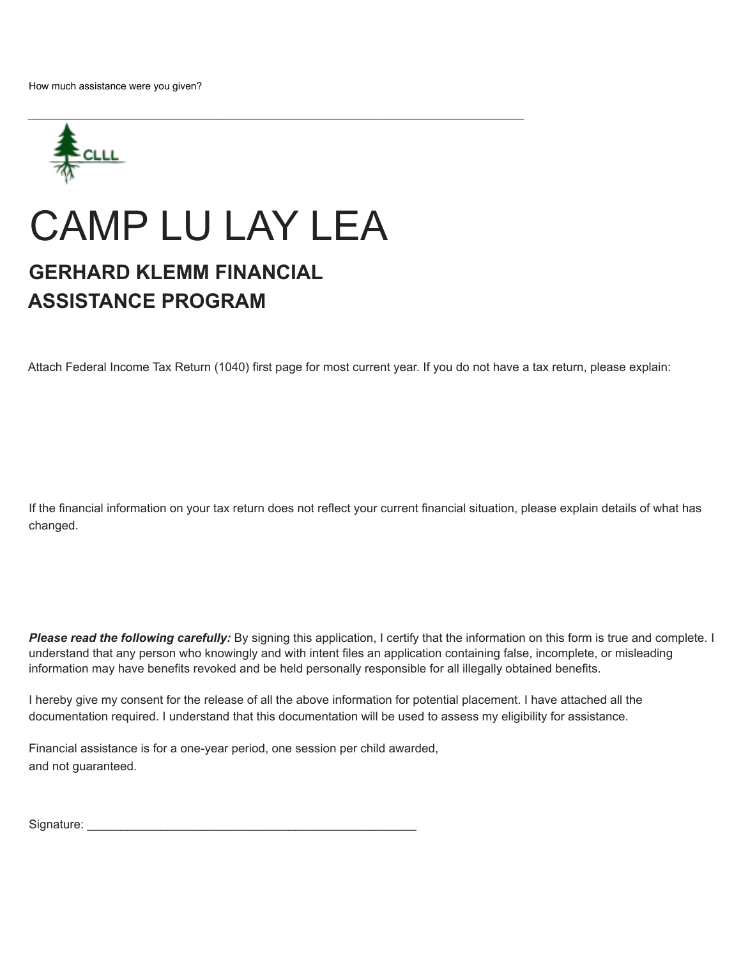

## CAMP LU LAY LEA

### **GERHARD KLEMM FINANCIAL ASSISTANCE PROGRAM**

Attach Federal Income Tax Return (1040) first page for most current year. If you do not have a tax return, please explain:

If the financial information on your tax return does not reflect your current financial situation, please explain details of what has changed.

*Please read the following carefully:* By signing this application, I certify that the information on this form is true and complete. I understand that any person who knowingly and with intent files an application containing false, incomplete, or misleading information may have benefits revoked and be held personally responsible for all illegally obtained benefits.

I hereby give my consent for the release of all the above information for potential placement. I have attached all the documentation required. I understand that this documentation will be used to assess my eligibility for assistance.

Financial assistance is for a one-year period, one session per child awarded, and not guaranteed.

Signature: \_\_\_\_\_\_\_\_\_\_\_\_\_\_\_\_\_\_\_\_\_\_\_\_\_\_\_\_\_\_\_\_\_\_\_\_\_\_\_\_\_\_\_\_\_\_\_\_\_